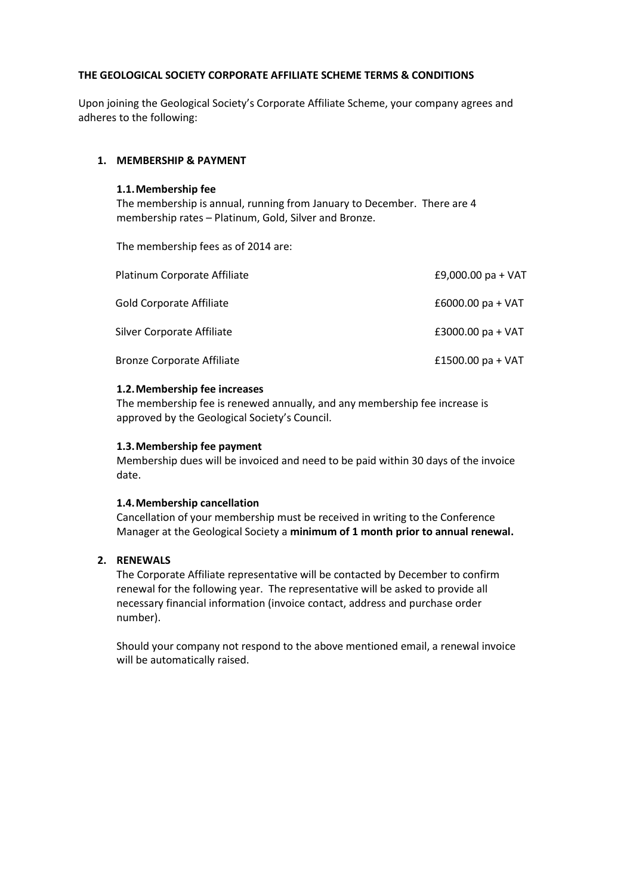# **THE GEOLOGICAL SOCIETY CORPORATE AFFILIATE SCHEME TERMS & CONDITIONS**

Upon joining the Geological Society's Corporate Affiliate Scheme, your company agrees and adheres to the following:

#### **1. MEMBERSHIP & PAYMENT**

#### **1.1.Membership fee**

The membership is annual, running from January to December. There are 4 membership rates – Platinum, Gold, Silver and Bronze.

The membership fees as of 2014 are:

| Platinum Corporate Affiliate      | £9,000.00 pa + VAT  |  |
|-----------------------------------|---------------------|--|
| Gold Corporate Affiliate          | £6000.00 pa + $VAT$ |  |
| Silver Corporate Affiliate        | £3000.00 $pa + VAT$ |  |
| <b>Bronze Corporate Affiliate</b> | £1500.00 pa + $VAT$ |  |

#### **1.2.Membership fee increases**

The membership fee is renewed annually, and any membership fee increase is approved by the Geological Society's Council.

#### **1.3.Membership fee payment**

Membership dues will be invoiced and need to be paid within 30 days of the invoice date.

#### **1.4.Membership cancellation**

Cancellation of your membership must be received in writing to the Conference Manager at the Geological Society a **minimum of 1 month prior to annual renewal.**

### **2. RENEWALS**

The Corporate Affiliate representative will be contacted by December to confirm renewal for the following year. The representative will be asked to provide all necessary financial information (invoice contact, address and purchase order number).

Should your company not respond to the above mentioned email, a renewal invoice will be automatically raised.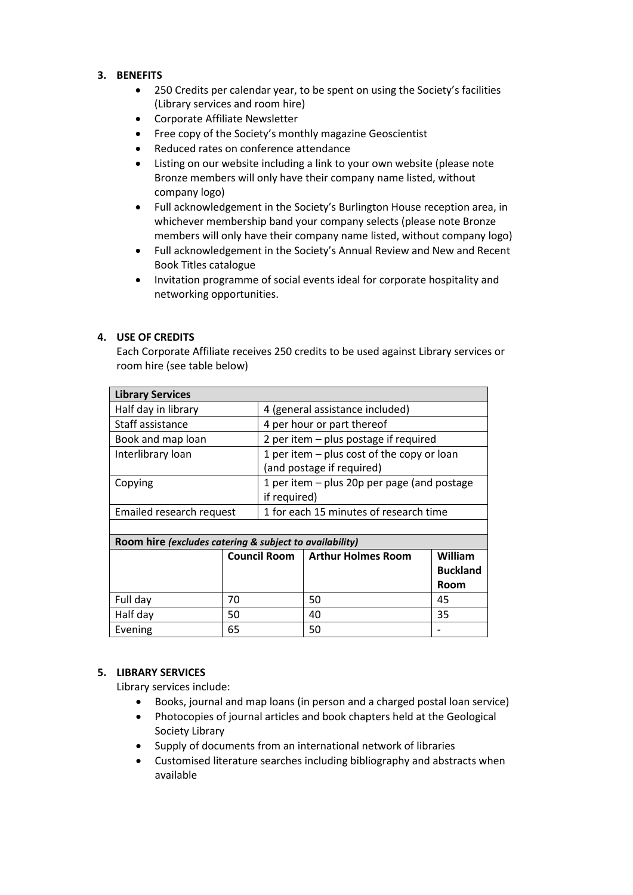# **3. BENEFITS**

- 250 Credits per calendar year, to be spent on using the Society's facilities (Library services and room hire)
- Corporate Affiliate Newsletter
- Free copy of the Society's monthly magazine Geoscientist
- Reduced rates on conference attendance
- Listing on our website including a link to your own website (please note Bronze members will only have their company name listed, without company logo)
- Full acknowledgement in the Society's Burlington House reception area, in whichever membership band your company selects (please note Bronze members will only have their company name listed, without company logo)
- Full acknowledgement in the Society's Annual Review and New and Recent Book Titles catalogue
- Invitation programme of social events ideal for corporate hospitality and networking opportunities.

# **4. USE OF CREDITS**

Each Corporate Affiliate receives 250 credits to be used against Library services or room hire (see table below)

| <b>Library Services</b>                                 |                     |                                             |                                        |                 |  |
|---------------------------------------------------------|---------------------|---------------------------------------------|----------------------------------------|-----------------|--|
| Half day in library                                     |                     | 4 (general assistance included)             |                                        |                 |  |
| Staff assistance                                        |                     | 4 per hour or part thereof                  |                                        |                 |  |
| Book and map loan                                       |                     | 2 per item - plus postage if required       |                                        |                 |  |
| Interlibrary loan                                       |                     | 1 per item - plus cost of the copy or loan  |                                        |                 |  |
|                                                         |                     | (and postage if required)                   |                                        |                 |  |
| Copying                                                 |                     | 1 per item – plus 20p per page (and postage |                                        |                 |  |
|                                                         |                     | if required)                                |                                        |                 |  |
| Emailed research request                                |                     |                                             | 1 for each 15 minutes of research time |                 |  |
|                                                         |                     |                                             |                                        |                 |  |
| Room hire (excludes catering & subject to availability) |                     |                                             |                                        |                 |  |
|                                                         | <b>Council Room</b> |                                             | <b>Arthur Holmes Room</b>              | William         |  |
|                                                         |                     |                                             |                                        | <b>Buckland</b> |  |
|                                                         |                     |                                             |                                        | Room            |  |
| Full day                                                | 70                  |                                             | 50                                     | 45              |  |
| Half day                                                | 50                  |                                             | 40                                     | 35              |  |
| Evening                                                 | 65                  |                                             | 50                                     |                 |  |

# **5. LIBRARY SERVICES**

Library services include:

- Books, journal and map loans (in person and a charged postal loan service)
- Photocopies of journal articles and book chapters held at the Geological Society Library
- Supply of documents from an international network of libraries
- Customised literature searches including bibliography and abstracts when available